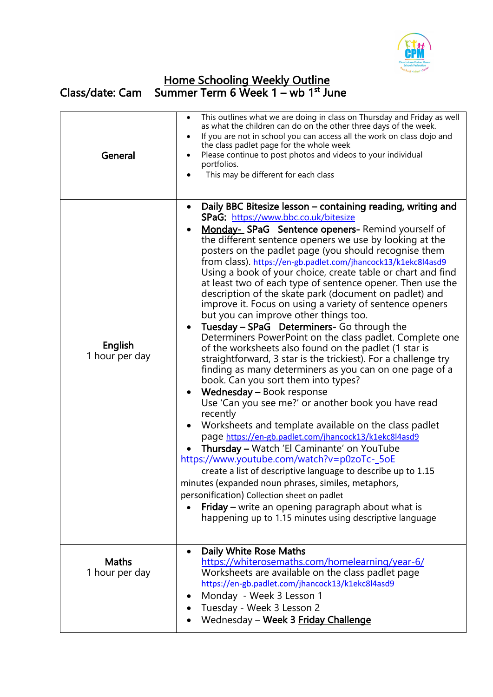

## Home Schooling Weekly Outline Class/date: Cam Summer Term 6 Week 1 – wb 1<sup>st</sup> June

| General                        | This outlines what we are doing in class on Thursday and Friday as well<br>$\bullet$<br>as what the children can do on the other three days of the week.<br>If you are not in school you can access all the work on class dojo and<br>$\bullet$<br>the class padlet page for the whole week<br>Please continue to post photos and videos to your individual<br>$\bullet$<br>portfolios.<br>This may be different for each class                                                                                                                                                                                                                                                                                                                                                                                                                                                                                                                                                                                                                                                                                                                                                                                                                                                                                                                                                                                                                                                                                                                                                                               |
|--------------------------------|---------------------------------------------------------------------------------------------------------------------------------------------------------------------------------------------------------------------------------------------------------------------------------------------------------------------------------------------------------------------------------------------------------------------------------------------------------------------------------------------------------------------------------------------------------------------------------------------------------------------------------------------------------------------------------------------------------------------------------------------------------------------------------------------------------------------------------------------------------------------------------------------------------------------------------------------------------------------------------------------------------------------------------------------------------------------------------------------------------------------------------------------------------------------------------------------------------------------------------------------------------------------------------------------------------------------------------------------------------------------------------------------------------------------------------------------------------------------------------------------------------------------------------------------------------------------------------------------------------------|
| English<br>1 hour per day      | Daily BBC Bitesize lesson - containing reading, writing and<br>$\bullet$<br>SPaG: https://www.bbc.co.uk/bitesize<br>Monday-SPaG Sentence openers-Remind yourself of<br>the different sentence openers we use by looking at the<br>posters on the padlet page (you should recognise them<br>from class). https://en-gb.padlet.com/jhancock13/k1ekc8l4asd9<br>Using a book of your choice, create table or chart and find<br>at least two of each type of sentence opener. Then use the<br>description of the skate park (document on padlet) and<br>improve it. Focus on using a variety of sentence openers<br>but you can improve other things too.<br>Tuesday - SPaG Determiners- Go through the<br>Determiners PowerPoint on the class padlet. Complete one<br>of the worksheets also found on the padlet (1 star is<br>straightforward, 3 star is the trickiest). For a challenge try<br>finding as many determiners as you can on one page of a<br>book. Can you sort them into types?<br>Wednesday - Book response<br>$\bullet$<br>Use 'Can you see me?' or another book you have read<br>recently<br>Worksheets and template available on the class padlet<br>page https://en-gb.padlet.com/jhancock13/k1ekc8l4asd9<br>Thursday - Watch 'El Caminante' on YouTube<br>https://www.youtube.com/watch?v=p0zoTc-_5oE<br>create a list of descriptive language to describe up to 1.15<br>minutes (expanded noun phrases, similes, metaphors,<br>personification) Collection sheet on padlet<br>Friday - write an opening paragraph about what is<br>happening up to 1.15 minutes using descriptive language |
| <b>Maths</b><br>1 hour per day | <b>Daily White Rose Maths</b><br>$\bullet$<br>https://whiterosemaths.com/homelearning/year-6/<br>Worksheets are available on the class padlet page<br>https://en-gb.padlet.com/jhancock13/k1ekc8l4asd9<br>Monday - Week 3 Lesson 1<br>Tuesday - Week 3 Lesson 2<br>Wednesday - Week 3 Friday Challenge                                                                                                                                                                                                                                                                                                                                                                                                                                                                                                                                                                                                                                                                                                                                                                                                                                                                                                                                                                                                                                                                                                                                                                                                                                                                                                        |